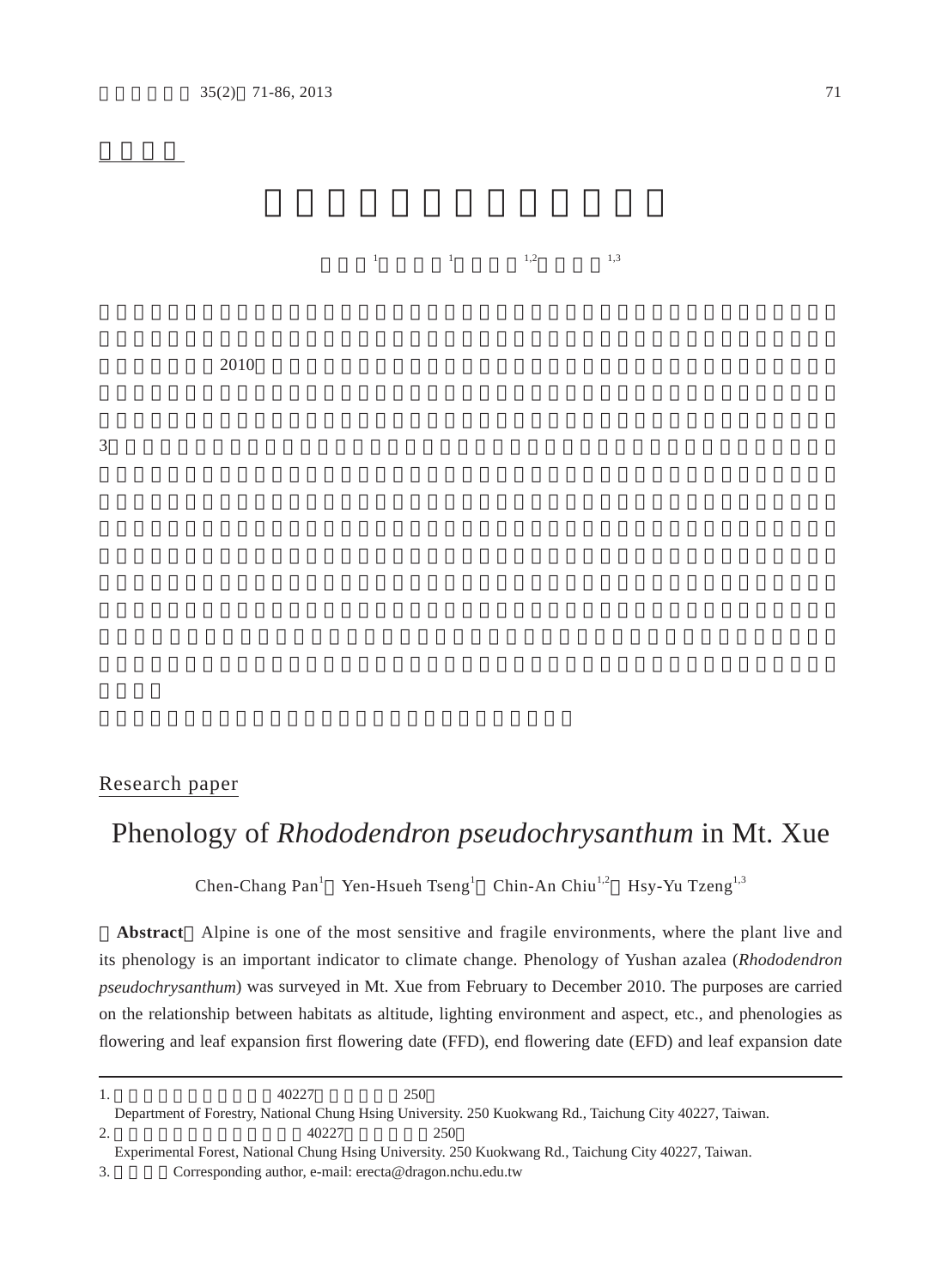潘振彰<sup>1</sup>

 曾彥學<sup>1</sup>  $1,2$   $1,3$ 

 $2010$ 

 $3$ 

## Research paper

## Phenology of *Rhododendron pseudochrysanthum* in Mt. Xue

Chen-Chang Pan<sup>1</sup> Yen-Hsueh Tseng<sup>1</sup> Chin-An Chiu<sup>1,2</sup> Hsy-Yu Tzeng<sup>1,3</sup>

**Abstract** Alpine is one of the most sensitive and fragile environments, where the plant live and its phenology is an important indicator to climate change. Phenology of Yushan azalea (*Rhododendron pseudochrysanthum*) was surveyed in Mt. Xue from February to December 2010. The purposes are carried on the relationship between habitats as altitude, lighting environment and aspect, etc., and phenologies as flowering and leaf expansion first flowering date (FFD), end flowering date (EFD) and leaf expansion date

<sup>1.</sup>  $40227$  250 Department of Forestry, National Chung Hsing University. 250 Kuokwang Rd., Taichung City 40227, Taiwan. 2.  $40227$  250

Experimental Forest, National Chung Hsing University. 250 Kuokwang Rd., Taichung City 40227, Taiwan.

<sup>3.</sup> Corresponding author, e-mail: erecta@dragon.nchu.edu.tw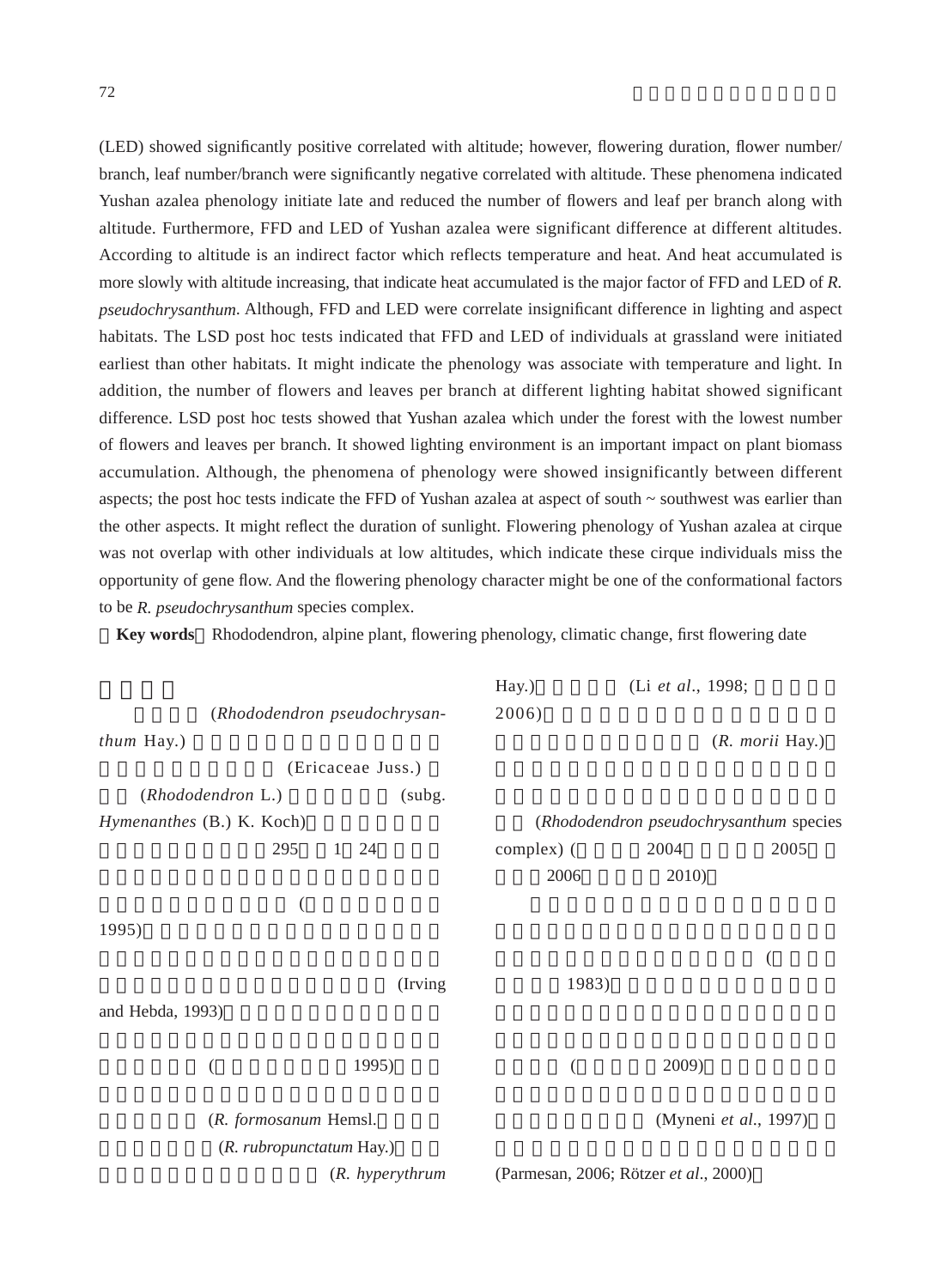(LED) showed significantly positive correlated with altitude; however, flowering duration, flower number/ branch, leaf number/branch were significantly negative correlated with altitude. These phenomena indicated Yushan azalea phenology initiate late and reduced the number of flowers and leaf per branch along with altitude. Furthermore, FFD and LED of Yushan azalea were significant difference at different altitudes. According to altitude is an indirect factor which reflects temperature and heat. And heat accumulated is more slowly with altitude increasing, that indicate heat accumulated is the major factor of FFD and LED of *R. pseudochrysanthum*. Although, FFD and LED were correlate insignificant difference in lighting and aspect habitats. The LSD post hoc tests indicated that FFD and LED of individuals at grassland were initiated earliest than other habitats. It might indicate the phenology was associate with temperature and light. In addition, the number of flowers and leaves per branch at different lighting habitat showed significant difference. LSD post hoc tests showed that Yushan azalea which under the forest with the lowest number of flowers and leaves per branch. It showed lighting environment is an important impact on plant biomass accumulation. Although, the phenomena of phenology were showed insignificantly between different aspects; the post hoc tests indicate the FFD of Yushan azalea at aspect of south ~ southwest was earlier than the other aspects. It might reflect the duration of sunlight. Flowering phenology of Yushan azalea at cirque was not overlap with other individuals at low altitudes, which indicate these cirque individuals miss the opportunity of gene flow. And the flowering phenology character might be one of the conformational factors to be *R. pseudochrysanthum* species complex.

**Key words** Rhododendron, alpine plant, flowering phenology, climatic change, first flowering date

|                           |                              | Hay.)                                 | (Li et al., 1998;                       |                       |
|---------------------------|------------------------------|---------------------------------------|-----------------------------------------|-----------------------|
|                           | (Rhododendron pseudochrysan- | 2006)                                 |                                         |                       |
| thum Hay.)                |                              |                                       |                                         | (R. morii Hay.)       |
|                           | (Ericaceae Juss.)            |                                       |                                         |                       |
| (Rhododendron L.)         | (subg.                       |                                       |                                         |                       |
| Hymenanthes (B.) K. Koch) |                              |                                       | (Rhododendron pseudochrysanthum species |                       |
| 295                       | 24<br>$\mathbf{1}$           | complex) (                            | 2004                                    | 2005                  |
|                           |                              | 2006                                  | 2010)                                   |                       |
| (                         |                              |                                       |                                         |                       |
| 1995)                     |                              |                                       |                                         |                       |
|                           |                              |                                       |                                         |                       |
|                           | (Irving)                     | 1983)                                 |                                         |                       |
| and Hebda, 1993)          |                              |                                       |                                         |                       |
|                           |                              |                                       |                                         |                       |
| (                         | 1995)                        | (                                     | 2009)                                   |                       |
|                           |                              |                                       |                                         |                       |
| (R. formosanum Hemsl.     |                              |                                       |                                         | (Myneni et al., 1997) |
| (R. rubropunctatum Hay.)  |                              |                                       |                                         |                       |
|                           | (R. hyperythrum              | (Parmesan, 2006; Rötzer et al., 2000) |                                         |                       |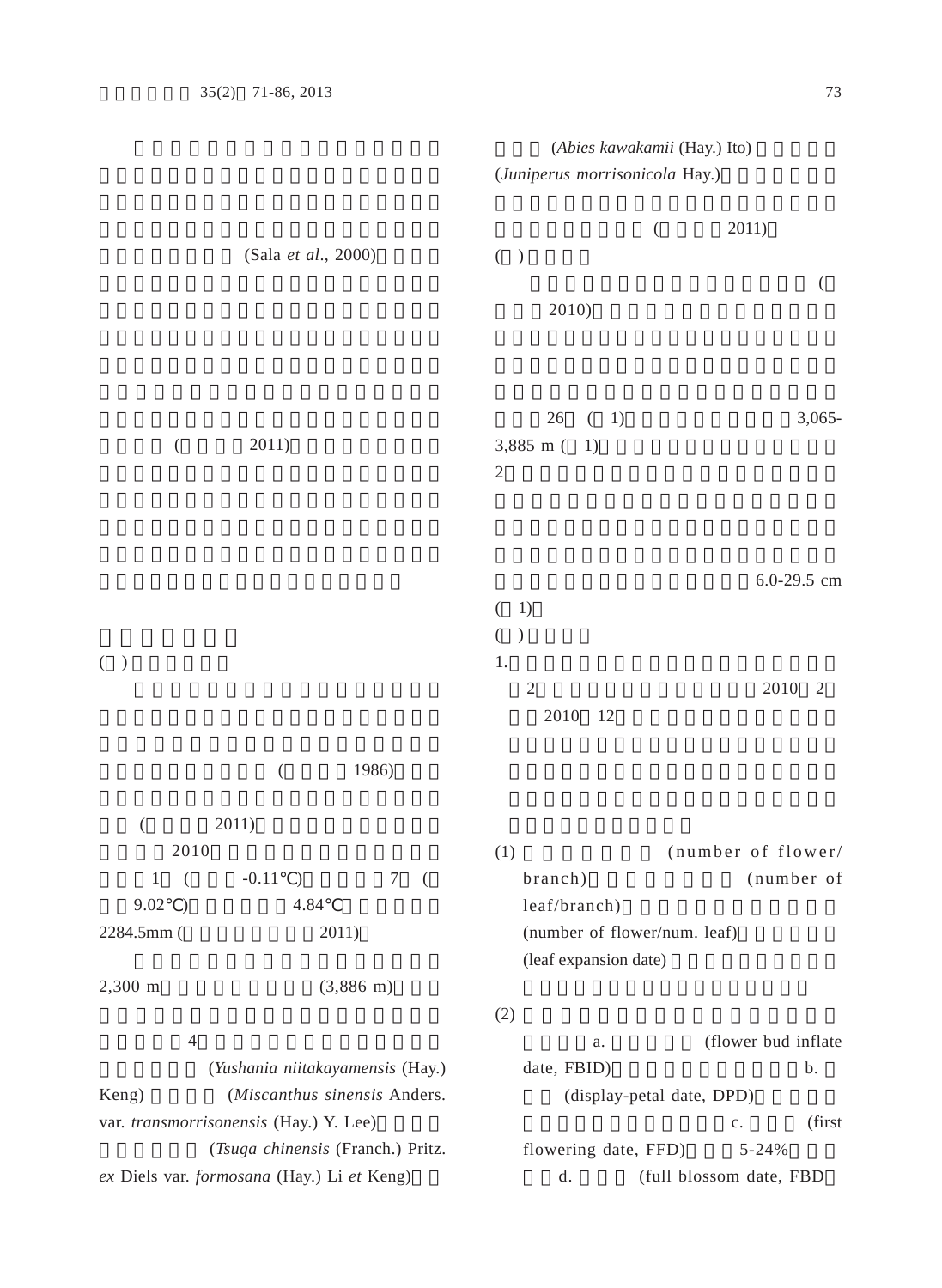|                                                    |                                            |                                    |                                                       | (Abies kawakamii (Hay.) Ito)                          |                         |                |
|----------------------------------------------------|--------------------------------------------|------------------------------------|-------------------------------------------------------|-------------------------------------------------------|-------------------------|----------------|
|                                                    |                                            |                                    |                                                       | (Juniperus morrisonicola Hay.)                        |                         |                |
|                                                    | (Sala et al., 2000)                        |                                    | ( )<br>2010)                                          | $\left($                                              | 2011)                   |                |
| $\left($                                           | 2011)                                      |                                    | 26<br>3,885 m (<br>$\mathfrak{2}$                     | (1)<br>1)                                             |                         | $3,065-$       |
|                                                    |                                            |                                    | 1)<br>$\left($                                        |                                                       |                         | 6.0-29.5 cm    |
| $($ )                                              |                                            |                                    | $\left($<br>$\mathcal{E}$<br>1.<br>$\sqrt{2}$<br>2010 | 12                                                    | 2010                    | $\overline{2}$ |
|                                                    | 1986)<br>$\big($                           |                                    |                                                       |                                                       |                         |                |
| $\overline{(}$                                     | 2011)                                      |                                    |                                                       |                                                       |                         |                |
| 2010                                               |                                            |                                    | (1)                                                   |                                                       | (number of flower/      |                |
| $\mathbf{1}$<br>(<br>9.02<br>$\big)$<br>2284.5mm ( | $-0.11$<br>$\mathcal{E}$<br>4.84<br>2011)  | $\boldsymbol{7}$<br>$\overline{(}$ | branch)<br>leaf/branch)                               | (number of flower/num. leaf)<br>(leaf expansion date) |                         | (number of     |
| 2,300 m                                            | $(3,886 \text{ m})$                        |                                    |                                                       |                                                       |                         |                |
| $\overline{4}$                                     |                                            |                                    | (2)                                                   | a.                                                    | (flower bud inflate     |                |
|                                                    | (Yushania niitakayamensis (Hay.)           |                                    | date, FBID)                                           |                                                       |                         | b.             |
| Keng)                                              | (Miscanthus sinensis Anders.               |                                    |                                                       | (display-petal date, DPD)                             |                         |                |
|                                                    | var. transmorrisonensis (Hay.) Y. Lee)     |                                    |                                                       |                                                       | $\mathbb{C}.$           | (first         |
|                                                    | (Tsuga chinensis (Franch.) Pritz.          |                                    |                                                       | flowering date, FFD)                                  | $5 - 24%$               |                |
|                                                    | ex Diels var. formosana (Hay.) Li et Keng) |                                    | d.                                                    |                                                       | (full blossom date, FBD |                |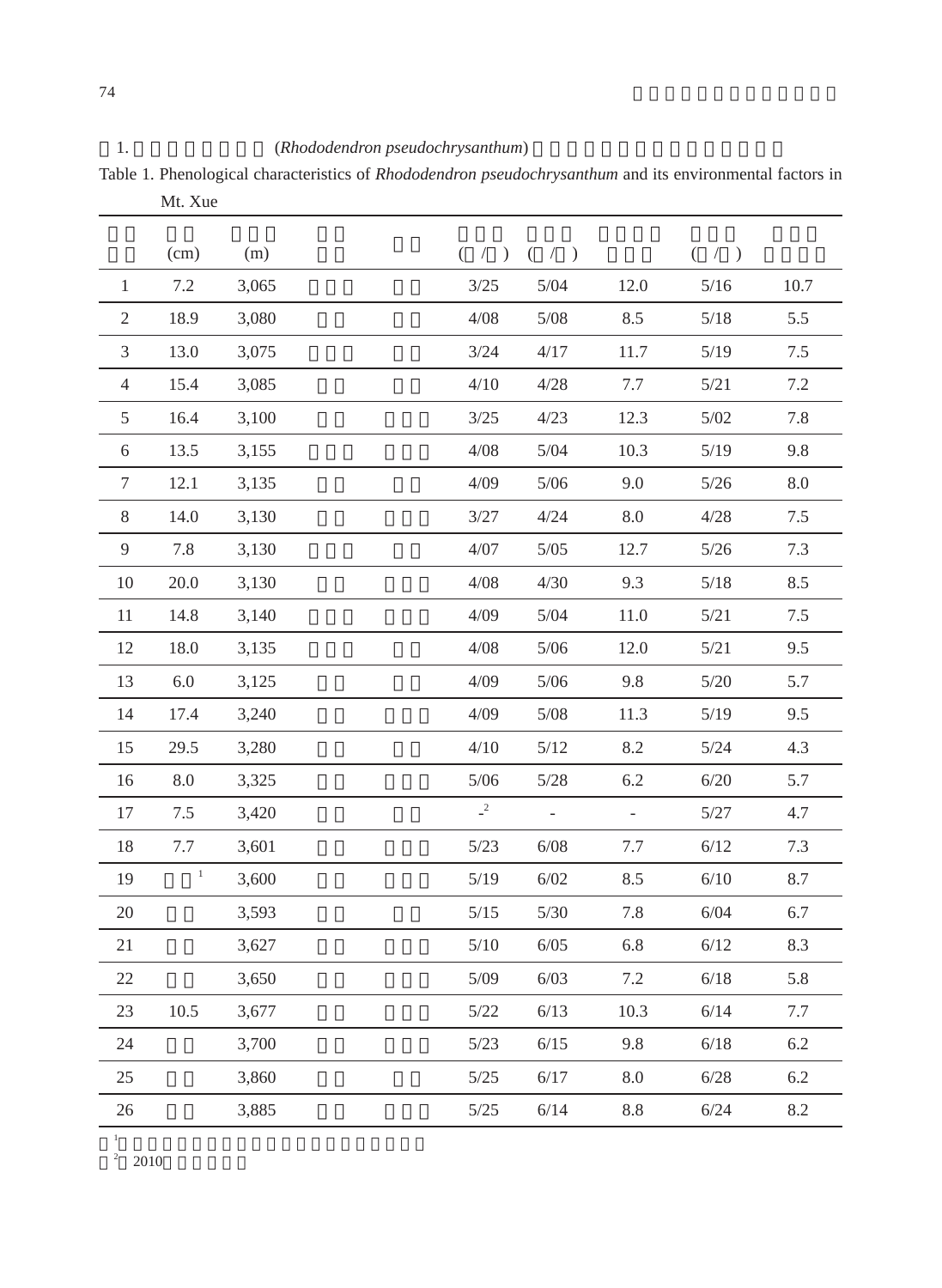Table 1. Phenological characteristics of *Rhododendron pseudochrysanthum* and its environmental factors in Mt. Xue

|                | (cm)           | (m)   |                  | $( / )$ $( / )$ |         | $($ / $)$ |         |
|----------------|----------------|-------|------------------|-----------------|---------|-----------|---------|
| $\mathbf{1}$   | 7.2            | 3,065 | $3/25$           | 5/04            | 12.0    | $5/16$    | 10.7    |
| 2              | 18.9           | 3,080 | 4/08             | $5/08$          | 8.5     | $5/18$    | 5.5     |
| 3              | 13.0           | 3,075 | 3/24             | 4/17            | 11.7    | 5/19      | 7.5     |
| $\overline{4}$ | 15.4           | 3,085 | 4/10             | 4/28            | 7.7     | 5/21      | 7.2     |
| 5              | 16.4           | 3,100 | 3/25             | 4/23            | 12.3    | $5/02$    | 7.8     |
| 6              | 13.5           | 3,155 | 4/08             | $5/04$          | 10.3    | $5/19$    | 9.8     |
| $\tau$         | 12.1           | 3,135 | 4/09             | 5/06            | 9.0     | 5/26      | 8.0     |
| 8              | 14.0           | 3,130 | 3/27             | 4/24            | 8.0     | 4/28      | 7.5     |
| 9              | 7.8            | 3,130 | 4/07             | $5/05$          | 12.7    | $5/26$    | 7.3     |
| 10             | 20.0           | 3,130 | 4/08             | 4/30            | 9.3     | 5/18      | 8.5     |
| 11             | 14.8           | 3,140 | 4/09             | $5/04$          | 11.0    | 5/21      | $7.5\,$ |
| 12             | 18.0           | 3,135 | 4/08             | $5/06$          | 12.0    | 5/21      | 9.5     |
| 13             | 6.0            | 3,125 | 4/09             | $5/06$          | 9.8     | $5/20$    | 5.7     |
| 14             | 17.4           | 3,240 | 4/09             | 5/08            | 11.3    | 5/19      | 9.5     |
| 15             | 29.5           | 3,280 | 4/10             | $5/12$          | 8.2     | $5/24$    | 4.3     |
| 16             | 8.0            | 3,325 | $5/06$           | $5/28$          | 6.2     | 6/20      | 5.7     |
| 17             | 7.5            | 3,420 | $\overline{c}^2$ | $\sim$          | $\pm$   | $5/27$    | 4.7     |
| 18             | 7.7            | 3,601 | 5/23             | 6/08            | $7.7\,$ | 6/12      | 7.3     |
| 19             | $\overline{1}$ | 3,600 | $5/19$           | 6/02            | 8.5     | 6/10      | 8.7     |
| $20\,$         |                | 3,593 | $5/15$           | $5/30$          | 7.8     | 6/04      | 6.7     |
| 21             |                | 3,627 | 5/10             | 6/05            | 6.8     | 6/12      | 8.3     |
| 22             |                | 3,650 | 5/09             | 6/03            | 7.2     | 6/18      | 5.8     |
| 23             | 10.5           | 3,677 | $5/22$           | 6/13            | 10.3    | 6/14      | 7.7     |
| 24             |                | 3,700 | 5/23             | 6/15            | 9.8     | 6/18      | 6.2     |
| 25             |                | 3,860 | $5/25$           | 6/17            | 8.0     | 6/28      | 6.2     |
| 26             |                | 3,885 | $5/25$           | 6/14            | 8.8     | 6/24      | 8.2     |
|                |                |       |                  |                 |         |           |         |

1

<sup>2</sup> 2010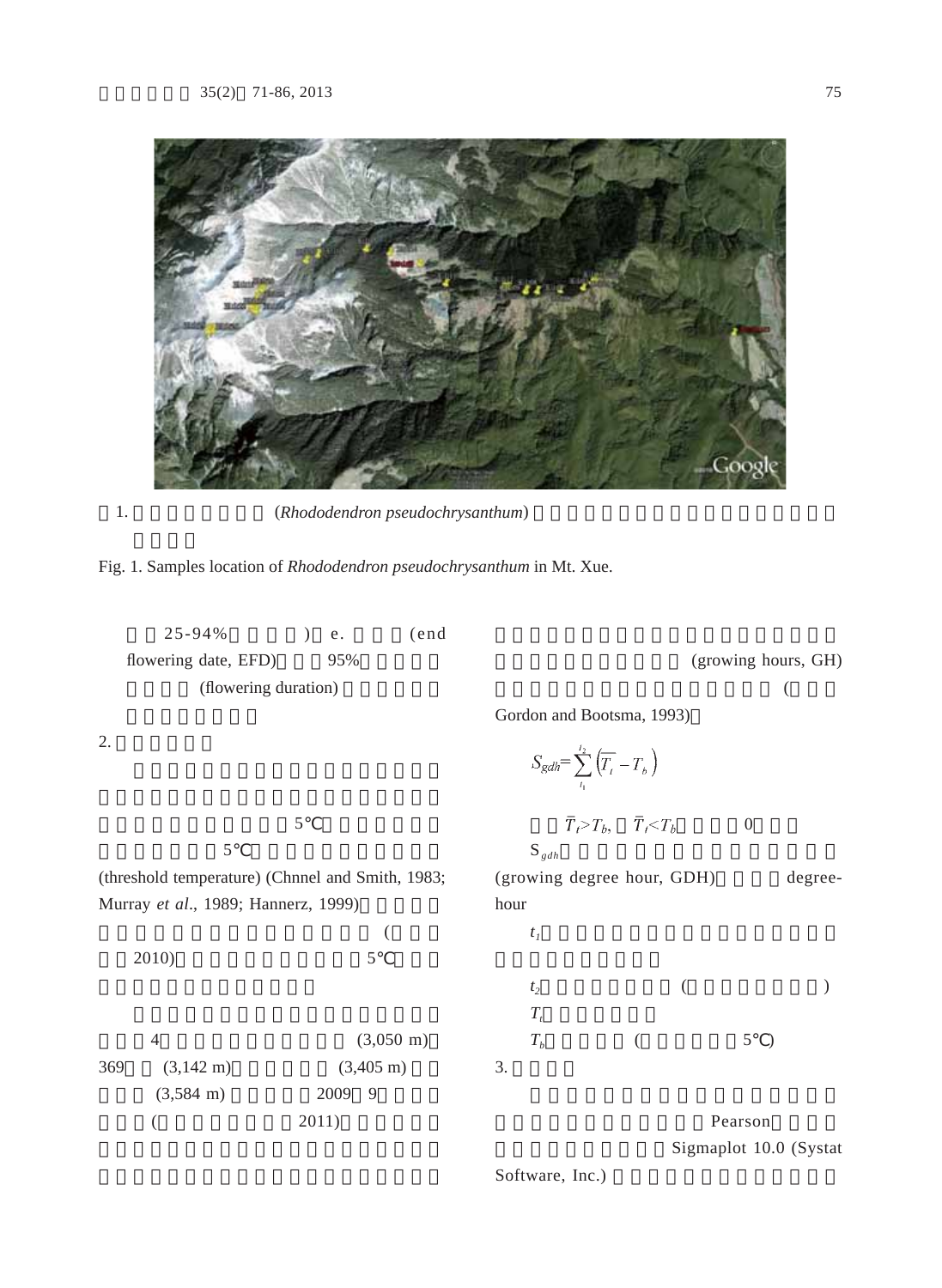

1. **Black** (*Rhododendron pseudochrysanthum*)



|     | $25 - 94%$                                       |       | ${\rm e}$ .         | (end)               |                             |                                                                  |  |          |               |                        |
|-----|--------------------------------------------------|-------|---------------------|---------------------|-----------------------------|------------------------------------------------------------------|--|----------|---------------|------------------------|
|     | flowering date, EFD)                             |       | 95%                 |                     |                             |                                                                  |  |          |               | (growing hours, GH)    |
|     | (flowering duration)                             |       |                     |                     |                             |                                                                  |  |          |               |                        |
|     |                                                  |       |                     |                     |                             | Gordon and Bootsma, 1993)                                        |  |          |               |                        |
| 2.  |                                                  |       |                     |                     |                             | $S_{gdh} = \sum_{t_1}^{t_2} \left( \overline{T_t} - T_b \right)$ |  |          |               |                        |
|     |                                                  | 5     |                     |                     |                             | $\overline{T}_t > T_b$ , $\overline{T}_t < T_b$                  |  | $\theta$ |               |                        |
|     | 5                                                |       |                     |                     | $\mathbf{S}_{\mathit{gdh}}$ |                                                                  |  |          |               |                        |
|     | (threshold temperature) (Chnnel and Smith, 1983; |       |                     |                     |                             | (growing degree hour, GDH)                                       |  |          |               | degree-                |
|     | Murray et al., 1989; Hannerz, 1999)              |       |                     |                     | hour                        |                                                                  |  |          |               |                        |
|     |                                                  |       |                     |                     | $t_I$                       |                                                                  |  |          |               |                        |
|     | 2010)                                            |       | 5                   |                     |                             |                                                                  |  |          |               |                        |
|     |                                                  |       |                     |                     | t <sub>2</sub>              |                                                                  |  |          |               |                        |
|     |                                                  |       |                     |                     | $T_{t}$                     |                                                                  |  |          |               |                        |
|     | $\overline{4}$                                   |       |                     | $(3,050 \text{ m})$ | $T_b$                       |                                                                  |  | 5        | $\rightarrow$ |                        |
| 369 | $(3,142 \text{ m})$                              |       | $(3,405 \text{ m})$ |                     | 3.                          |                                                                  |  |          |               |                        |
|     | $(3,584 \text{ m})$                              |       | 2009<br>9           |                     |                             |                                                                  |  |          |               |                        |
|     |                                                  | 2011) |                     |                     |                             |                                                                  |  | Pearson  |               |                        |
|     |                                                  |       |                     |                     |                             |                                                                  |  |          |               | Sigmaplot 10.0 (Systat |

Software, Inc.)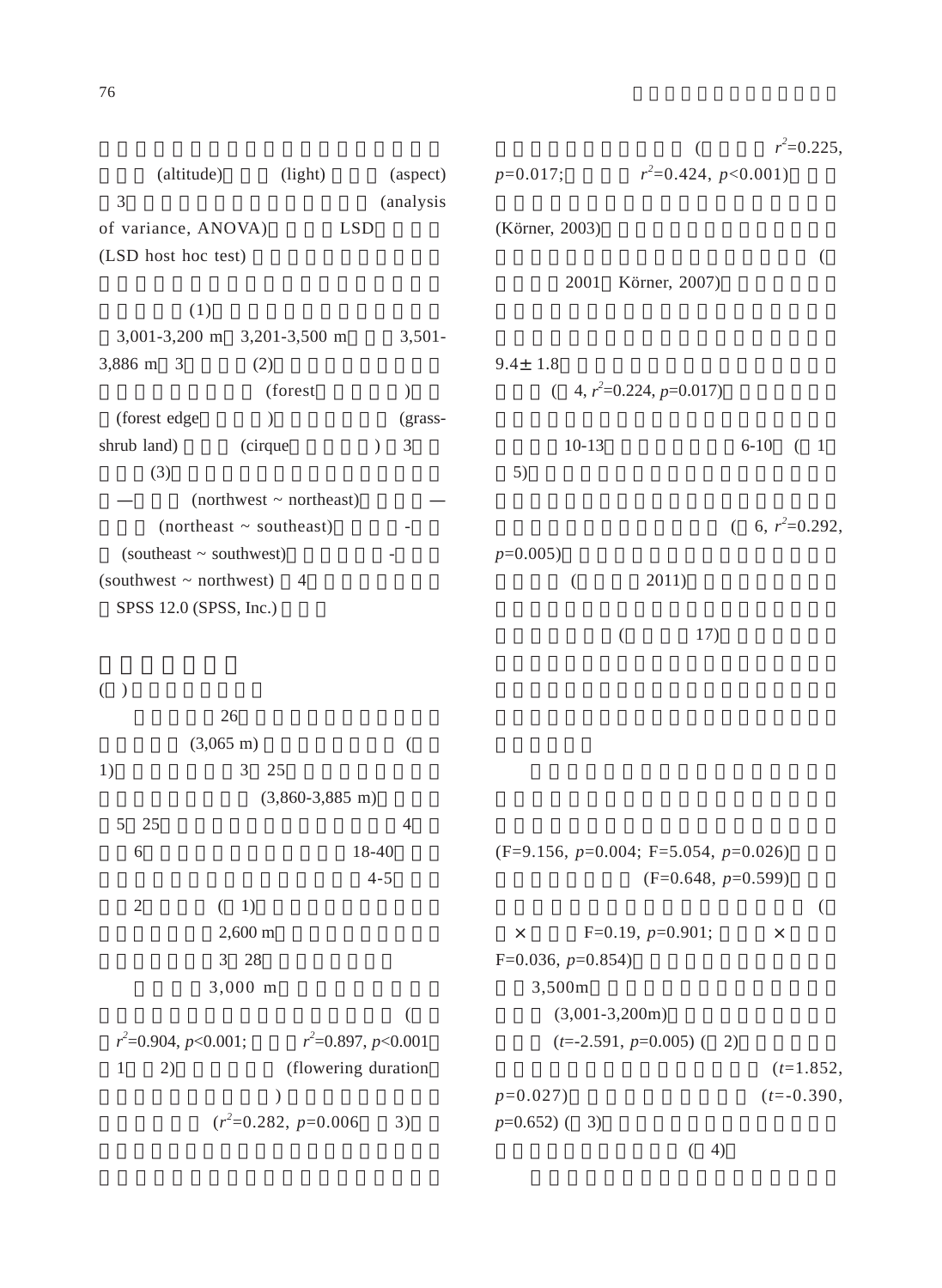(altitude) (light) (aspect) 3種生育地環境因子進行變方分析 (analysis of variance, ANOVA) LSD  $(LSD$  host hoc test)  $(1)$  $3,001-3,200 \text{ m}$   $3,201-3,500 \text{ m}$   $3,501 3,886 \text{ m } 3$  (2)  $(forest)$ (forest edge) (grass $shrub land)$  (cirque) 3  $(3)$  $(northwest ~ northern$ (northeast  $\sim$  southeast) (southeast  $\sim$  southwest) (southwest  $\sim$  northwest) 4 SPSS 12.0 (SPSS, Inc.) 著海拔的增加而顯著減少 (累積時數 *r*  $\lambda^2$ =0.225,  $p=0.017;$  $^{2}$ =0.424, *p*<0.001) (Körner, 2003)  $\overline{a}$ 2001 Körner, 2007)  $9.4 \pm 1.8$  $(4, r^2=0.224, p=0.017)$ 10-13 6-10 ( 1  $5)$  $(6, r^2=0.292,$  $p=0.005$ )  $(2011)$  $(17)$ 

 $($ 

 $26$  $(3,065 \text{ m})$  ( 1),開花起始日為3 25日,開花最晚的植株  $(3,860-3,885 \text{ m})$ 5 25日;玉山杜鵑開花之花期結束由4月中 旬至6月中旬,每株花期歷時長約18-40天。雪  $4-5$  $2 \t (1)$  $2,600 \text{ m}$ 3 28  $3,000 \text{ m}$  $\overline{a}$  $r^2 = 0.904, p < 0.001;$  r *2* =0.897, *p*<0.001 1 (flowering duration)  $)$  $(r^2=0.282, p=0.006$  3)

(F=9.156,  $p=0.004$ ; F=5.054,  $p=0.026$ )  $(F=0.648, p=0.599)$  $\overline{a}$  $\times$  F=0.19, *p*=0.901;  $\times$  $F=0.036, p=0.854$ 3,500m  $(3,001-3,200m)$  $(t=-2.591, p=0.005)$  ( 2)  $(t=1.852,$  $p=0.027$ ) (*t*=-0.390,  $p=0.652$ ) (3)  $(4)$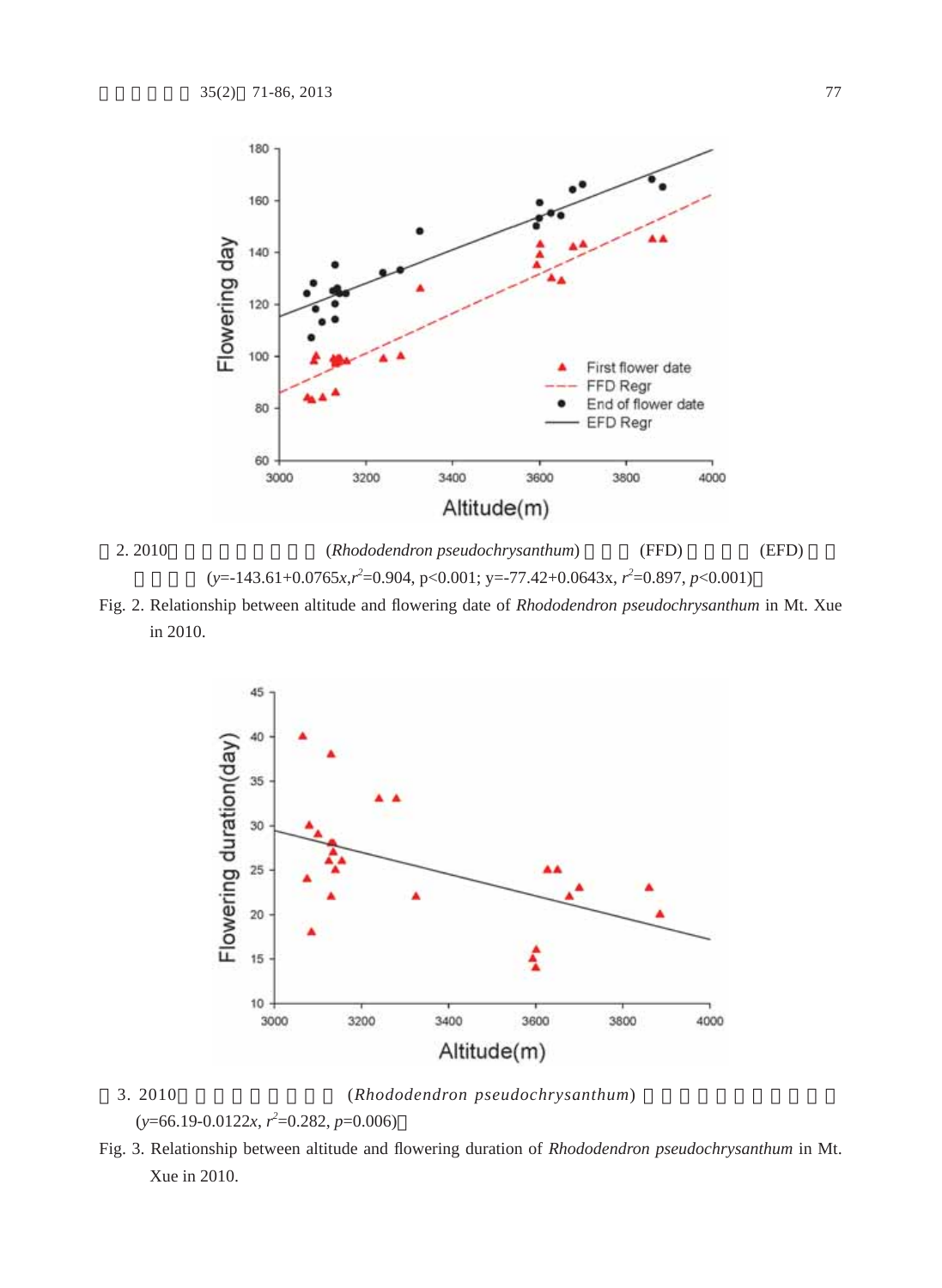



Fig. 2. Relationship between altitude and flowering date of *Rhododendron pseudochrysanthum* in Mt. Xue in 2010.



3. 2010 (*Rhododendron pseudochrysanthum*) (*y*=66.19-0.0122*x*, *r 2* =0.282, *p*=0.006)

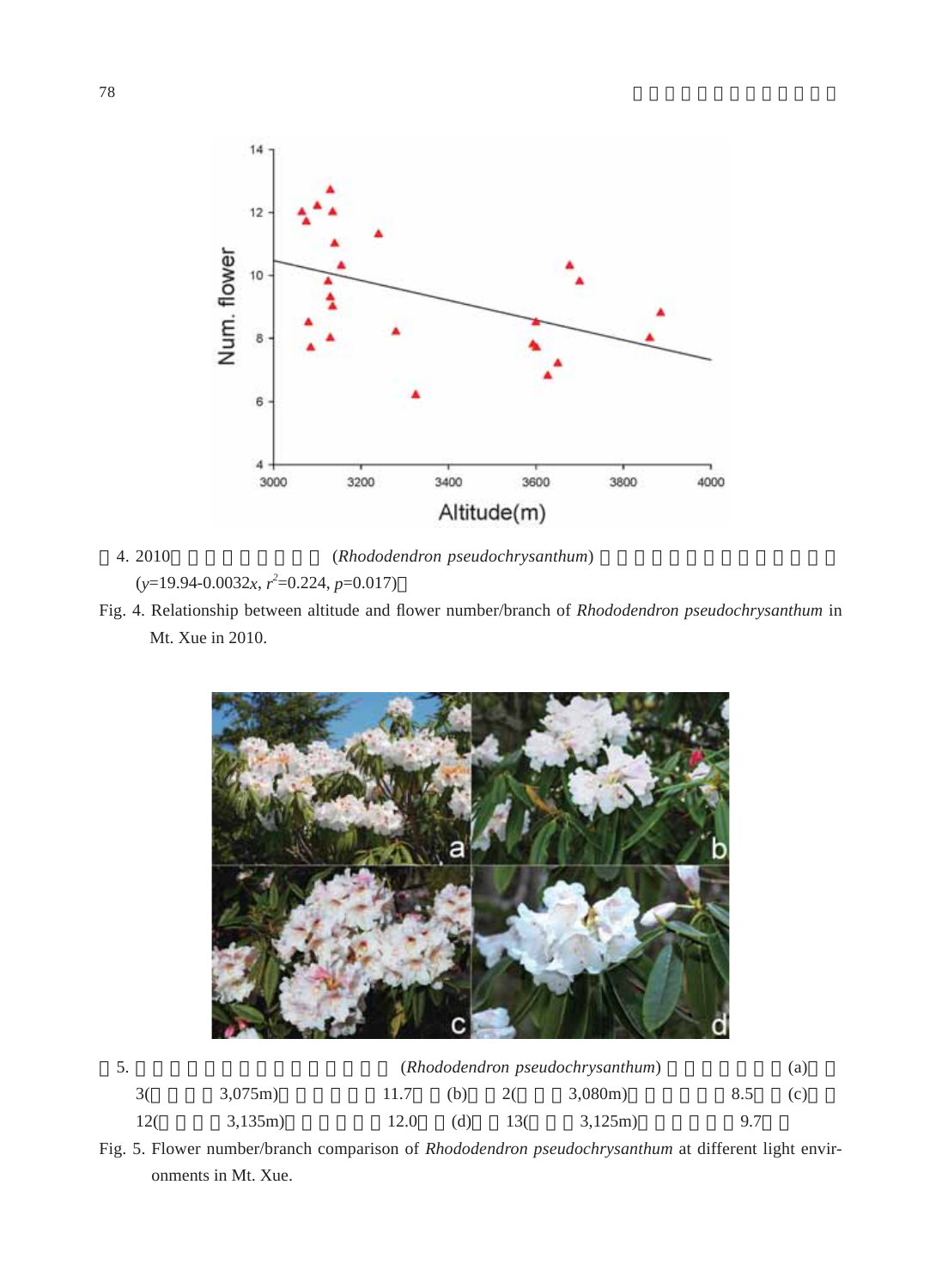

4. 2010 (*Rhododendron pseudochrysanthum*) (*y*=19.94-0.0032*x*, *r 2* =0.224, *p*=0.017)

Fig. 4. Relationship between altitude and flower number/branch of *Rhododendron pseudochrysanthum* in Mt. Xue in 2010.



|                | (Rhododendron pseudochrysanthum) |      |     |     |         |         | (a) |
|----------------|----------------------------------|------|-----|-----|---------|---------|-----|
| 3 <sup>0</sup> | $3,075$ m)                       | 11.7 | (b) | 20  | 3,080m) | 8.5 (c) |     |
| 120            | 3,135m)                          | 12.0 | (d) | 130 | 3.125m) | 9.7     |     |

Fig. 5. Flower number/branch comparison of *Rhododendron pseudochrysanthum* at different light environments in Mt. Xue.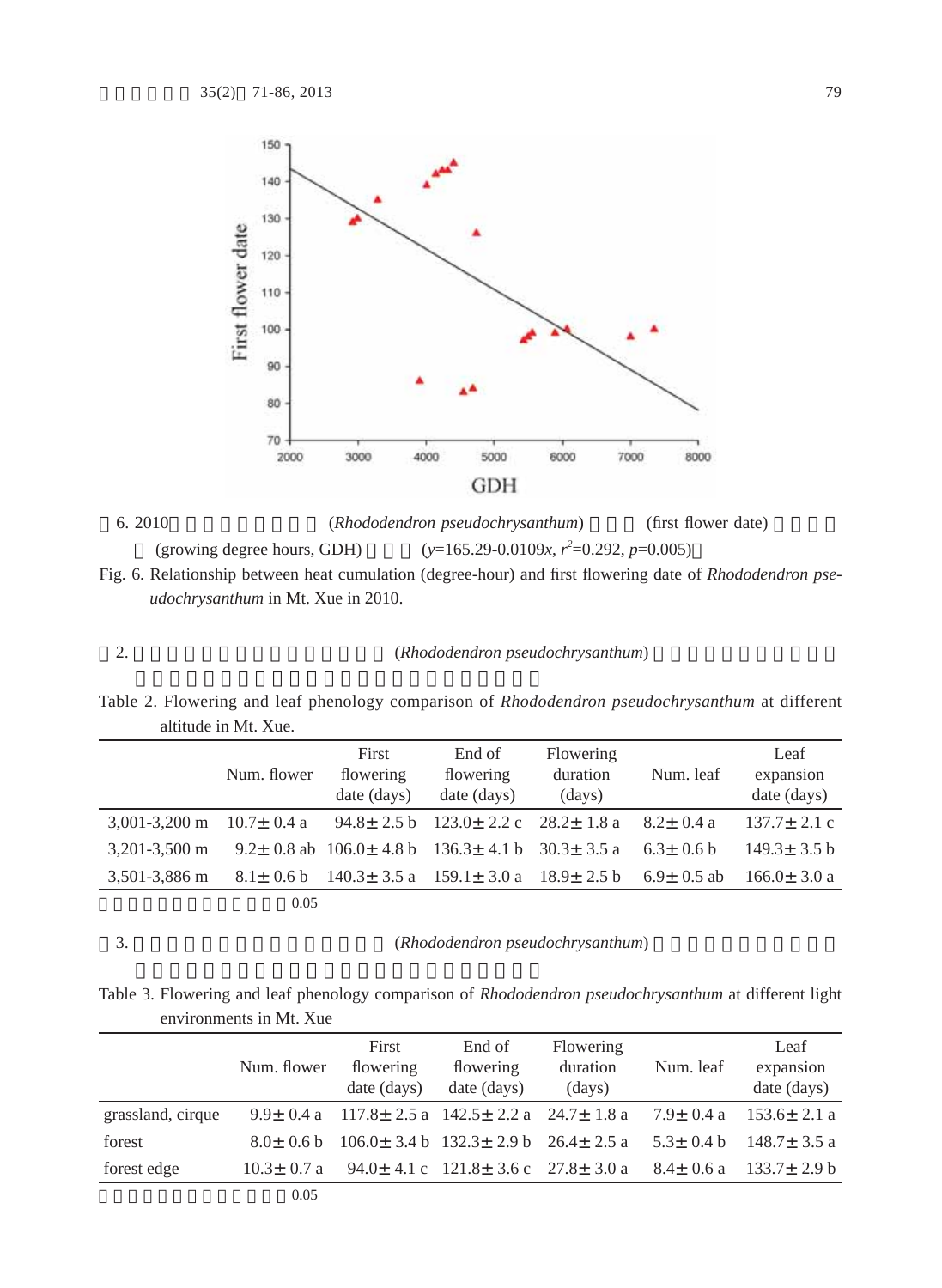



Fig. 6. Relationship between heat cumulation (degree-hour) and first flowering date of *Rhododendron pseudochrysanthum* in Mt. Xue in 2010.

2. **analysis in the control (***Rhododendron pseudochrysanthum*)

Table 2. Flowering and leaf phenology comparison of *Rhododendron pseudochrysanthum* at different altitude in Mt. Xue.

|                                                                                    | Num. flower | First<br>flowering<br>date (days) | End of<br>flowering<br>date (days)                                   | Flowering<br>duration<br>(days) | Num. leaf        | Leaf<br>expansion<br>date (days) |
|------------------------------------------------------------------------------------|-------------|-----------------------------------|----------------------------------------------------------------------|---------------------------------|------------------|----------------------------------|
| 3,001-3,200 m $10.7 \pm 0.4$ a $94.8 \pm 2.5$ b $123.0 \pm 2.2$ c $28.2 \pm 1.8$ a |             |                                   |                                                                      |                                 | $8.2 + 0.4$ a    | $137.7 \pm 2.1$ c                |
| $3.201 - 3.500$ m                                                                  |             |                                   | 9.2 ± 0.8 ab $106.0 \pm 4.8$ b $136.3 \pm 4.1$ b $30.3 \pm 3.5$ a    |                                 | $6.3 + 0.6 b$    | $149.3 \pm 3.5 \text{ b}$        |
| 3,501-3,886 m                                                                      |             |                                   | $8.1 \pm 0.6$ b $140.3 \pm 3.5$ a $159.1 \pm 3.0$ a $18.9 \pm 2.5$ b |                                 | $6.9 \pm 0.5$ ab | $166.0 \pm 3.0 a$                |
|                                                                                    | 0.05        |                                   |                                                                      |                                 |                  |                                  |

3. **Black** (*Rhododendron pseudochrysanthum*)

Table 3. Flowering and leaf phenology comparison of *Rhododendron pseudochrysanthum* at different light environments in Mt. Xue

|                   | Num. flower      | First<br>flowering<br>date (days) | End of<br>flowering<br>date (days)                                           | Flowering<br>duration<br>(days) | Num. leaf | Leaf<br>expansion<br>date (days)                                                                       |
|-------------------|------------------|-----------------------------------|------------------------------------------------------------------------------|---------------------------------|-----------|--------------------------------------------------------------------------------------------------------|
| grassland, cirque |                  |                                   |                                                                              |                                 |           | $9.9 \pm 0.4$ a $117.8 \pm 2.5$ a $142.5 \pm 2.2$ a $24.7 \pm 1.8$ a $7.9 \pm 0.4$ a $153.6 \pm 2.1$ a |
| forest            | $8.0+0.6 h$      |                                   | $106.0 \pm 3.4 \text{ b}$ $132.3 \pm 2.9 \text{ b}$ $26.4 \pm 2.5 \text{ a}$ |                                 |           | $5.3 + 0.4 b$ $148.7 + 3.5 a$                                                                          |
| forest edge       | $10.3 \pm 0.7$ a |                                   |                                                                              |                                 |           | $94.0 \pm 4.1 \text{ c}$ 121.8 $\pm$ 3.6 c 27.8 $\pm$ 3.0 a 8.4 $\pm$ 0.6 a 133.7 $\pm$ 2.9 b          |
|                   | 0.05             |                                   |                                                                              |                                 |           |                                                                                                        |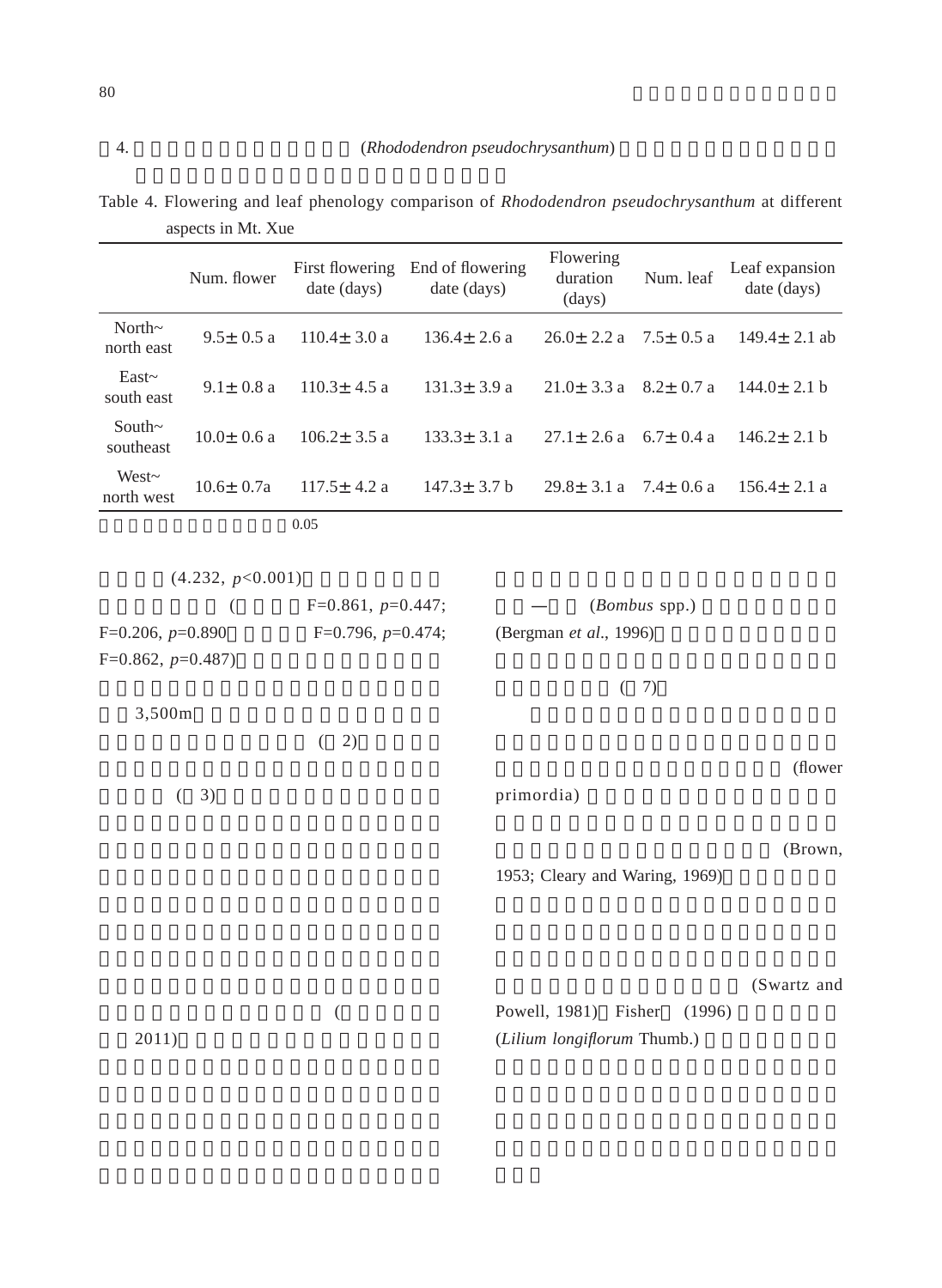|                            | Num. flower   | First flowering<br>date (days) | End of flowering<br>date (days) | Flowering<br>duration<br>$\frac{days}{9}$ | Num. leaf | Leaf expansion<br>date (days) |
|----------------------------|---------------|--------------------------------|---------------------------------|-------------------------------------------|-----------|-------------------------------|
| North $\sim$<br>north east | $9.5 + 0.5 a$ | $110.4 + 3.0 a$                | $136.4 + 2.6a$                  | $26.0 \pm 2.2$ a $7.5 \pm 0.5$ a          |           | $149.4 + 2.1$ ab              |
| East~<br>south east        | $9.1 + 0.8a$  | $110.3 + 4.5a$                 | $131.3 \pm 3.9 a$               | $21.0+3.3a$ 8.2+ 0.7 a                    |           | $144.0 \pm 2.1$ b             |
| South $\sim$<br>southeast  | $10.0+0.6a$   | $106.2 + 3.5 a$                | $133.3 + 3.1 a$                 | $27.1 + 2.6a$ 6.7+ 0.4 a                  |           | $146.2 + 2.1 h$               |
| West $\sim$<br>north west  | $10.6 + 0.7a$ | $117.5 + 4.2 a$                | $147.3 \pm 3.7 b$               | $29.8 + 3.1 a$ 7.4 + 0.6 a                |           | $156.4 + 2.1 a$               |
|                            |               | 0.05                           |                                 |                                           |           |                               |

|                    |  | Table 4. Flowering and leaf phenology comparison of <i>Rhododendron pseudochrysanthum</i> at different |  |
|--------------------|--|--------------------------------------------------------------------------------------------------------|--|
| aspects in Mt. Xue |  |                                                                                                        |  |

| (4.232, p<0.001)   |                     |                                |         |
|--------------------|---------------------|--------------------------------|---------|
|                    | $F=0.861, p=0.447;$ | (Bombus spp.)                  |         |
| $F=0.206, p=0.890$ | $F=0.796, p=0.474;$ | (Bergman et al., 1996)         |         |
| $F=0.862, p=0.487$ |                     |                                |         |
|                    |                     | 7)                             |         |
| 3,500m             |                     |                                |         |
|                    | 2)                  |                                |         |
|                    |                     |                                | (flower |
| 3)                 |                     | primordia)                     |         |
|                    |                     |                                |         |
|                    |                     |                                | (Brown, |
|                    |                     | 1953; Cleary and Waring, 1969) |         |
|                    |                     |                                |         |

(Swartz and

|       | Powell, 1981) Fisher (1996) |
|-------|-----------------------------|
| 2011) | (Lilium longiflorum Thumb.) |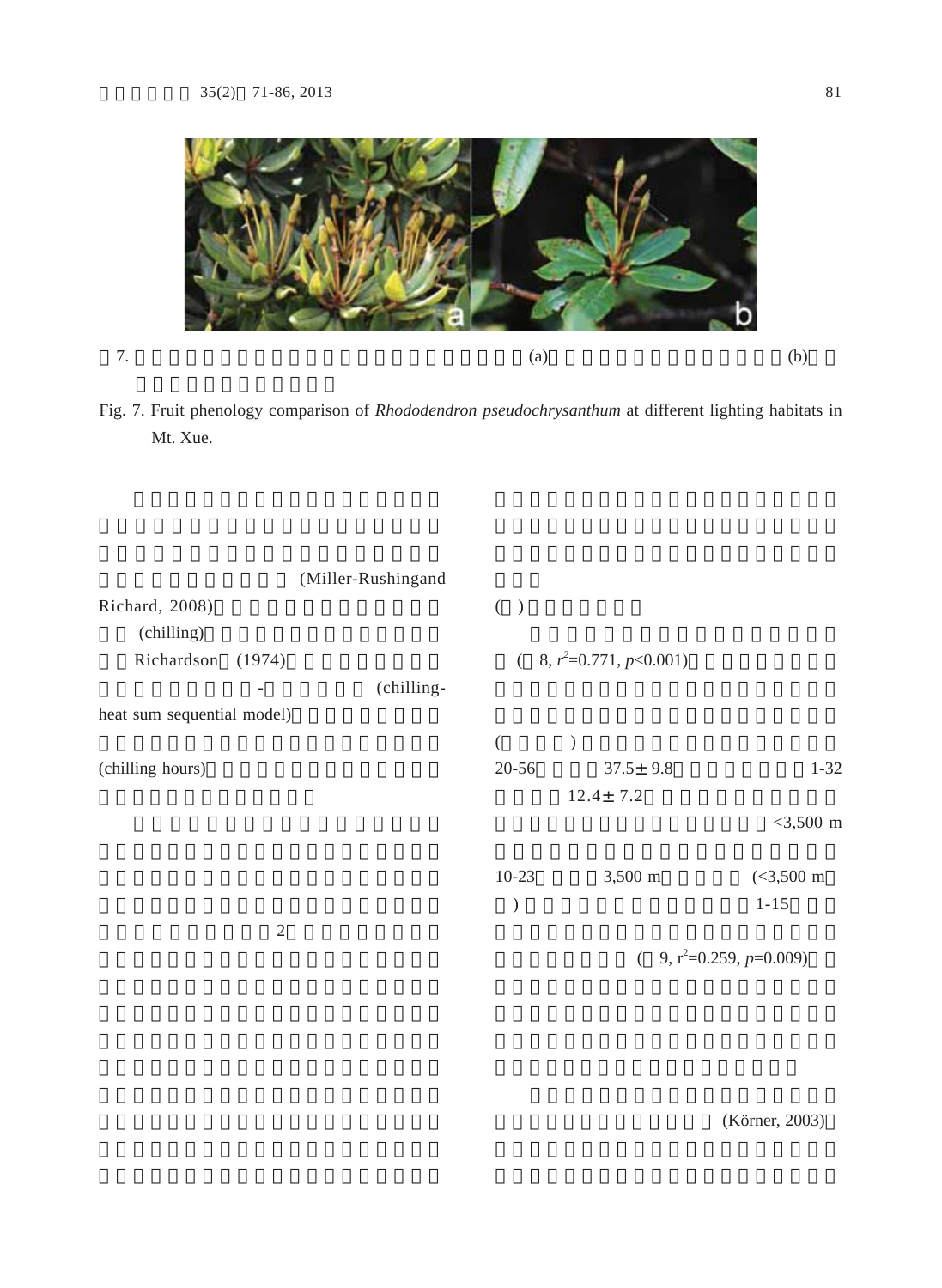

Fig. 7. Fruit phenology comparison of *Rhododendron pseudochrysanthum* at different lighting habitats in Mt. Xue.

|                            | (Miller-Rushingand |               |                           |                              |
|----------------------------|--------------------|---------------|---------------------------|------------------------------|
| Richard, 2008)             |                    | $($ )         |                           |                              |
| (chilling)                 |                    |               |                           |                              |
| Richardson<br>(1974)       |                    |               | $(8, r^2=0.771, p<0.001)$ |                              |
|                            | (chilling-         |               |                           |                              |
| heat sum sequential model) |                    |               |                           |                              |
|                            |                    |               |                           |                              |
| (chilling hours)           |                    | $20 - 56$     | $37.5 \pm 9.8$            | $1 - 32$                     |
|                            |                    |               | $12.4 \pm 7.2$            |                              |
|                            |                    |               |                           | $<$ 3,500 m                  |
|                            |                    | $10-23$       | 3,500 m                   | $(<3,500$ m                  |
|                            |                    | $\mathcal{E}$ |                           | $1 - 15$                     |
| $\overline{2}$             |                    |               |                           |                              |
|                            |                    |               |                           | 9, $r^2=0.259$ , $p=0.009$ ) |

(Körner, 2003)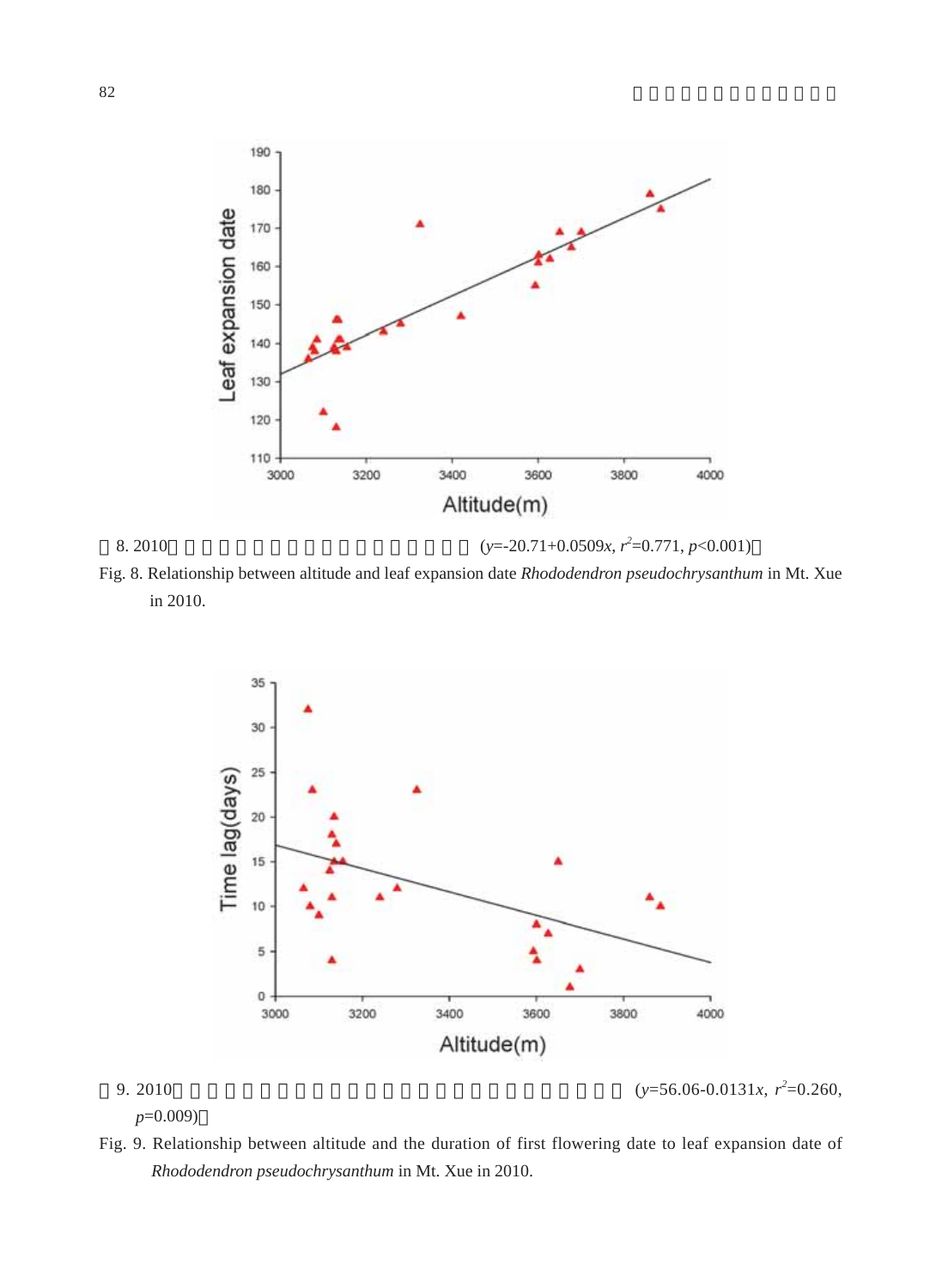



in 2010.



*p*=0.009)

9. 2010  $(y=56.06-0.0131x, r^2=0.260,$ 

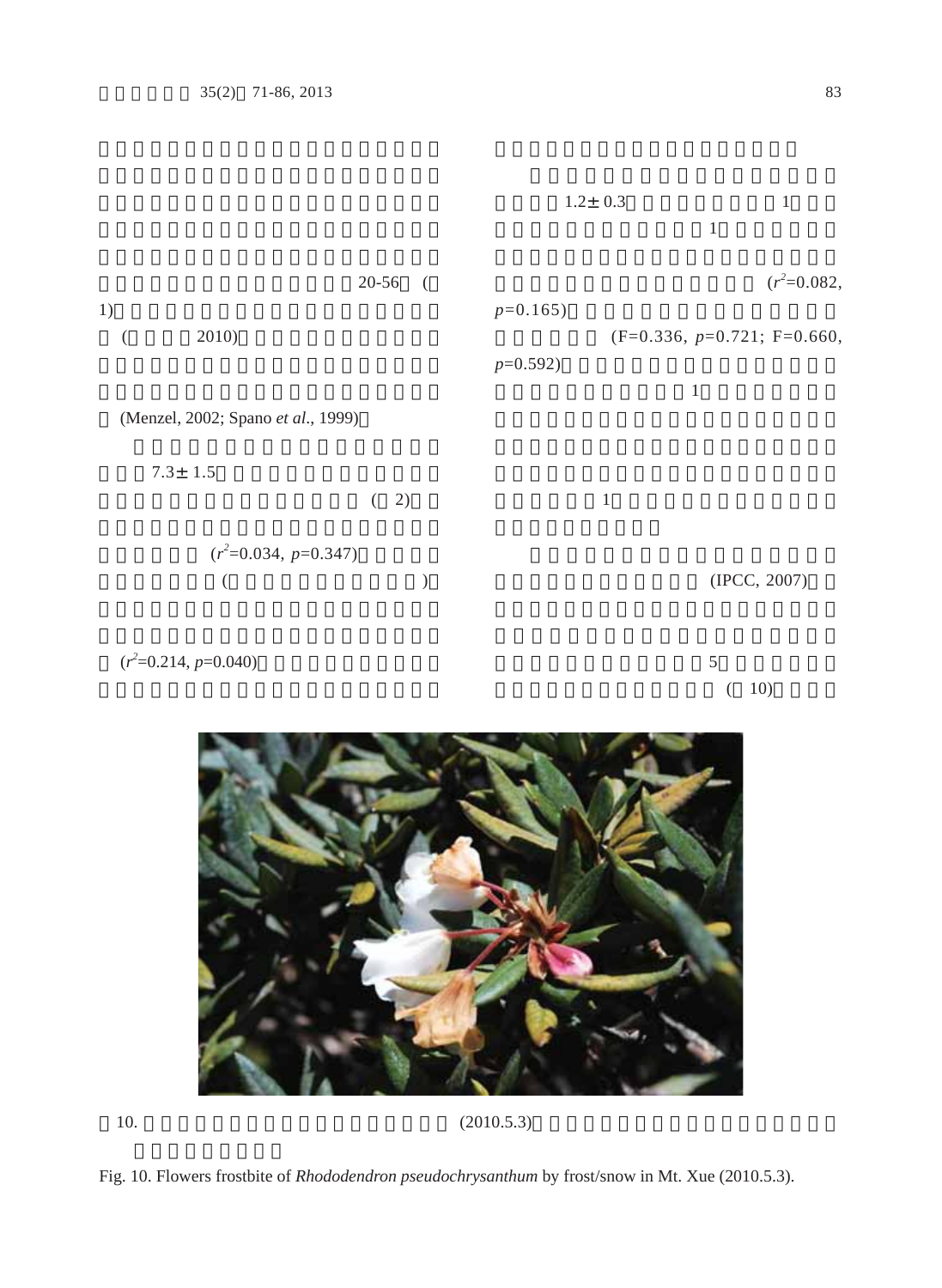

 $(10)$ 







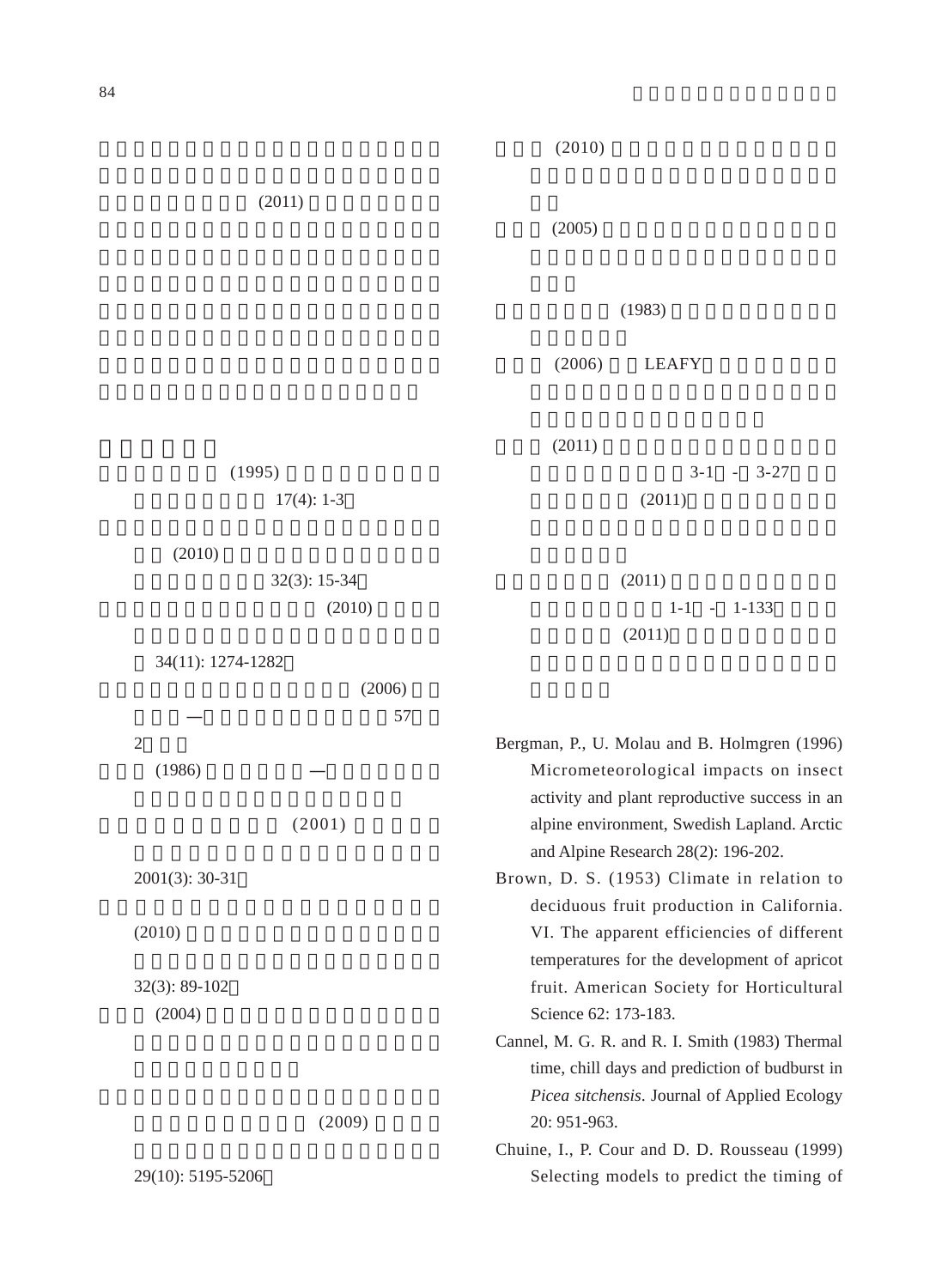$(2010)$ 

 $(2011)$ 

 $(2005)$ 

 $(1983)$ 

 $(2006)$  LEAFY

 $(1995)$  $17(4): 1-3$  $(2011)$  $3-1 - 3-27$  $(2011)$ 

 $(2010)$ 

 $32(3): 15-34$  $(2010)$ 

34(11): 1274-1282

|        | (2006) |
|--------|--------|
| _      | 57     |
| 2      |        |
| (1986) |        |

 $(2001)$ 

2001(3): 30-31

 $(2010)$ 

32(3): 89-102  $(2004)$ 

 $(2009)$ 

29(10): 5195-5206

 $(2011)$  $1-1 - 1 - 1-133$  $(2011)$ 

Bergman, P., U. Molau and B. Holmgren (1996) Micrometeorological impacts on insect activity and plant reproductive success in an alpine environment, Swedish Lapland. Arctic and Alpine Research 28(2): 196-202.

Brown, D. S. (1953) Climate in relation to deciduous fruit production in California. VI. The apparent efficiencies of different temperatures for the development of apricot fruit. American Society for Horticultural Science 62: 173-183.

Cannel, M. G. R. and R. I. Smith (1983) Thermal time, chill days and prediction of budburst in *Picea sitchensis*. Journal of Applied Ecology 20: 951-963.

Chuine, I., P. Cour and D. D. Rousseau (1999) Selecting models to predict the timing of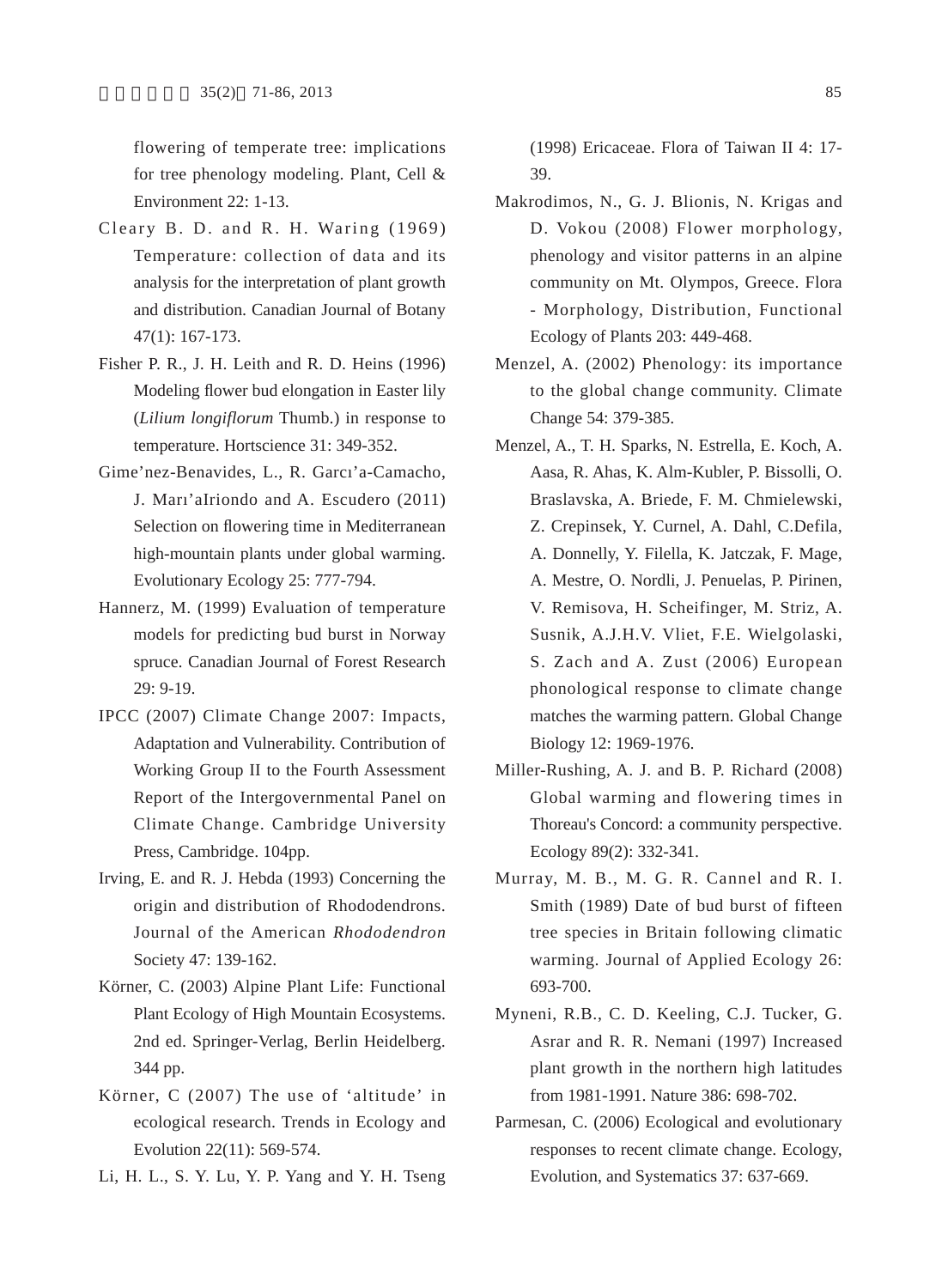flowering of temperate tree: implications for tree phenology modeling. Plant, Cell & Environment 22: 1-13.

- Cleary B. D. and R. H. Waring (1969) Temperature: collection of data and its analysis for the interpretation of plant growth and distribution. Canadian Journal of Botany 47(1): 167-173.
- Fisher P. R., J. H. Leith and R. D. Heins (1996) Modeling flower bud elongation in Easter lily (*Lilium longiflorum* Thumb.) in response to temperature. Hortscience 31: 349-352.
- Gime'nez-Benavides, L., R. Garcı'a-Camacho, J. Marı'aIriondo and A. Escudero (2011) Selection on flowering time in Mediterranean high-mountain plants under global warming. Evolutionary Ecology 25: 777-794.
- Hannerz, M. (1999) Evaluation of temperature models for predicting bud burst in Norway spruce. Canadian Journal of Forest Research 29: 9-19.
- IPCC (2007) Climate Change 2007: Impacts, Adaptation and Vulnerability. Contribution of Working Group II to the Fourth Assessment Report of the Intergovernmental Panel on Climate Change. Cambridge University Press, Cambridge. 104pp.
- Irving, E. and R. J. Hebda (1993) Concerning the origin and distribution of Rhododendrons. Journal of the American *Rhododendron* Society 47: 139-162.
- Körner, C. (2003) Alpine Plant Life: Functional Plant Ecology of High Mountain Ecosystems. 2nd ed. Springer-Verlag, Berlin Heidelberg. 344 pp.
- Körner, C (2007) The use of 'altitude' in ecological research. Trends in Ecology and Evolution 22(11): 569-574.
- Li, H. L., S. Y. Lu, Y. P. Yang and Y. H. Tseng

(1998) Ericaceae. Flora of Taiwan II 4: 17- 39.

- Makrodimos, N., G. J. Blionis, N. Krigas and D. Vokou (2008) Flower morphology, phenology and visitor patterns in an alpine community on Mt. Olympos, Greece. Flora - Morphology, Distribution, Functional Ecology of Plants 203: 449-468.
- Menzel, A. (2002) Phenology: its importance to the global change community. Climate Change 54: 379-385.
- Menzel, A., T. H. Sparks, N. Estrella, E. Koch, A. Aasa, R. Ahas, K. Alm-Kubler, P. Bissolli, O. Braslavska, A. Briede, F. M. Chmielewski, Z. Crepinsek, Y. Curnel, A. Dahl, C.Defila, A. Donnelly, Y. Filella, K. Jatczak, F. Mage, A. Mestre, O. Nordli, J. Penuelas, P. Pirinen, V. Remisova, H. Scheifinger, M. Striz, A. Susnik, A.J.H.V. Vliet, F.E. Wielgolaski, S. Zach and A. Zust (2006) European phonological response to climate change matches the warming pattern. Global Change Biology 12: 1969-1976.
- Miller-Rushing, A. J. and B. P. Richard (2008) Global warming and flowering times in Thoreau's Concord: a community perspective. Ecology 89(2): 332-341.
- Murray, M. B., M. G. R. Cannel and R. I. Smith (1989) Date of bud burst of fifteen tree species in Britain following climatic warming. Journal of Applied Ecology 26: 693-700.
- Myneni, R.B., C. D. Keeling, C.J. Tucker, G. Asrar and R. R. Nemani (1997) Increased plant growth in the northern high latitudes from 1981-1991. Nature 386: 698-702.
- Parmesan, C. (2006) Ecological and evolutionary responses to recent climate change. Ecology, Evolution, and Systematics 37: 637-669.